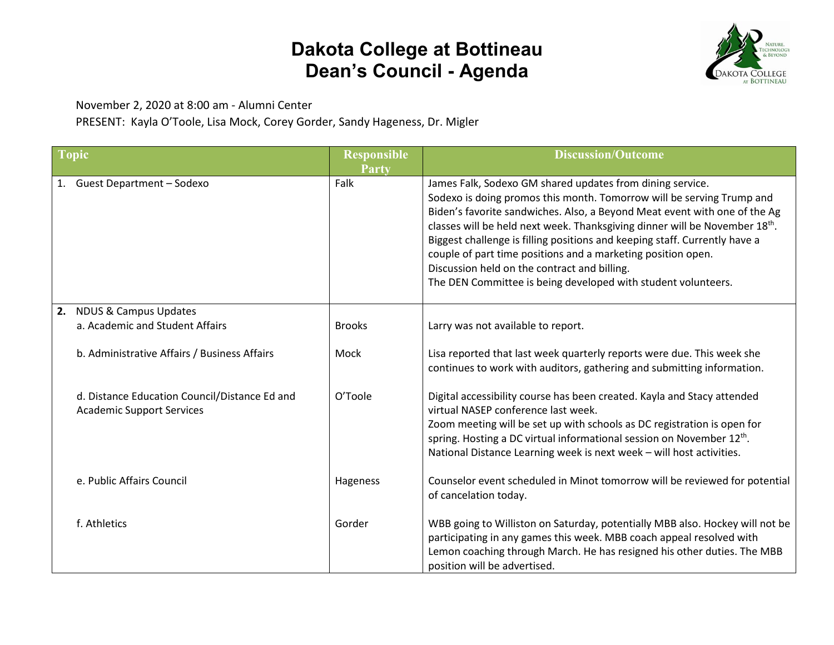## **Dakota College at Bottineau Dean's Council - Agenda**



November 2, 2020 at 8:00 am - Alumni Center

PRESENT: Kayla O'Toole, Lisa Mock, Corey Gorder, Sandy Hageness, Dr. Migler

| <b>Topic</b> |                                                                                   | <b>Responsible</b><br>Party | <b>Discussion/Outcome</b>                                                                                                                                                                                                                                                                                                                                                                                                                                                                                                                                    |
|--------------|-----------------------------------------------------------------------------------|-----------------------------|--------------------------------------------------------------------------------------------------------------------------------------------------------------------------------------------------------------------------------------------------------------------------------------------------------------------------------------------------------------------------------------------------------------------------------------------------------------------------------------------------------------------------------------------------------------|
|              | 1. Guest Department - Sodexo                                                      | Falk                        | James Falk, Sodexo GM shared updates from dining service.<br>Sodexo is doing promos this month. Tomorrow will be serving Trump and<br>Biden's favorite sandwiches. Also, a Beyond Meat event with one of the Ag<br>classes will be held next week. Thanksgiving dinner will be November 18th.<br>Biggest challenge is filling positions and keeping staff. Currently have a<br>couple of part time positions and a marketing position open.<br>Discussion held on the contract and billing.<br>The DEN Committee is being developed with student volunteers. |
|              | 2. NDUS & Campus Updates                                                          |                             |                                                                                                                                                                                                                                                                                                                                                                                                                                                                                                                                                              |
|              | a. Academic and Student Affairs                                                   | <b>Brooks</b>               | Larry was not available to report.                                                                                                                                                                                                                                                                                                                                                                                                                                                                                                                           |
|              | b. Administrative Affairs / Business Affairs                                      | Mock                        | Lisa reported that last week quarterly reports were due. This week she<br>continues to work with auditors, gathering and submitting information.                                                                                                                                                                                                                                                                                                                                                                                                             |
|              | d. Distance Education Council/Distance Ed and<br><b>Academic Support Services</b> | O'Toole                     | Digital accessibility course has been created. Kayla and Stacy attended<br>virtual NASEP conference last week.                                                                                                                                                                                                                                                                                                                                                                                                                                               |
|              |                                                                                   |                             | Zoom meeting will be set up with schools as DC registration is open for                                                                                                                                                                                                                                                                                                                                                                                                                                                                                      |
|              |                                                                                   |                             | spring. Hosting a DC virtual informational session on November 12 <sup>th</sup> .                                                                                                                                                                                                                                                                                                                                                                                                                                                                            |
|              |                                                                                   |                             | National Distance Learning week is next week - will host activities.                                                                                                                                                                                                                                                                                                                                                                                                                                                                                         |
|              | e. Public Affairs Council                                                         | Hageness                    | Counselor event scheduled in Minot tomorrow will be reviewed for potential                                                                                                                                                                                                                                                                                                                                                                                                                                                                                   |
|              |                                                                                   |                             | of cancelation today.                                                                                                                                                                                                                                                                                                                                                                                                                                                                                                                                        |
|              | f. Athletics                                                                      | Gorder                      | WBB going to Williston on Saturday, potentially MBB also. Hockey will not be<br>participating in any games this week. MBB coach appeal resolved with<br>Lemon coaching through March. He has resigned his other duties. The MBB                                                                                                                                                                                                                                                                                                                              |
|              |                                                                                   |                             | position will be advertised.                                                                                                                                                                                                                                                                                                                                                                                                                                                                                                                                 |